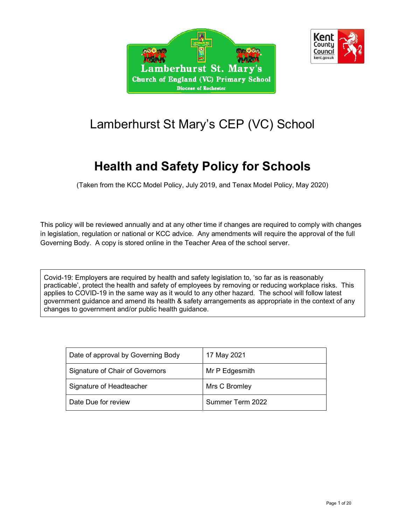



# Lamberhurst St Mary's CEP (VC) School

# Health and Safety Policy for Schools

(Taken from the KCC Model Policy, July 2019, and Tenax Model Policy, May 2020)

This policy will be reviewed annually and at any other time if changes are required to comply with changes in legislation, regulation or national or KCC advice. Any amendments will require the approval of the full Governing Body. A copy is stored online in the Teacher Area of the school server.

Covid-19: Employers are required by health and safety legislation to, 'so far as is reasonably practicable', protect the health and safety of employees by removing or reducing workplace risks. This applies to COVID-19 in the same way as it would to any other hazard. The school will follow latest government guidance and amend its health & safety arrangements as appropriate in the context of any changes to government and/or public health guidance.

| Date of approval by Governing Body | 17 May 2021      |
|------------------------------------|------------------|
| Signature of Chair of Governors    | Mr P Edgesmith   |
| Signature of Headteacher           | Mrs C Bromley    |
| Date Due for review                | Summer Term 2022 |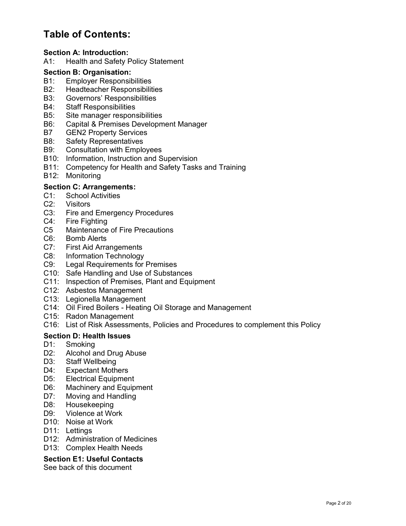## Table of Contents:

## Section A: Introduction:

A1: Health and Safety Policy Statement

## Section B: Organisation:

- B1: Employer Responsibilities
- B2: Headteacher Responsibilities
- B3: Governors' Responsibilities
- B4: Staff Responsibilities
- B5: Site manager responsibilities
- B6: Capital & Premises Development Manager
- B7 GEN2 Property Services
- B8: Safety Representatives
- B9: Consultation with Employees
- B10: Information, Instruction and Supervision
- B11: Competency for Health and Safety Tasks and Training
- B12: Monitoring

## Section C: Arrangements:

- C1: School Activities
- C2: Visitors
- C3: Fire and Emergency Procedures
- C4: Fire Fighting
- C5 Maintenance of Fire Precautions
- C6: Bomb Alerts
- C7: First Aid Arrangements
- C8: Information Technology
- C9: Legal Requirements for Premises
- C10: Safe Handling and Use of Substances
- C11: Inspection of Premises, Plant and Equipment
- C12: Asbestos Management
- C13: Legionella Management
- C14: Oil Fired Boilers Heating Oil Storage and Management
- C15: Radon Management
- C16: List of Risk Assessments, Policies and Procedures to complement this Policy

## Section D: Health Issues

- D1: Smoking
- D2: Alcohol and Drug Abuse
- D3: Staff Wellbeing
- D4: Expectant Mothers
- D5: Electrical Equipment
- D6: Machinery and Equipment
- D7: Moving and Handling
- D8: Housekeeping
- D9: Violence at Work
- D10: Noise at Work
- D11: Lettings
- D12: Administration of Medicines
- D13: Complex Health Needs

## Section E1: Useful Contacts

See back of this document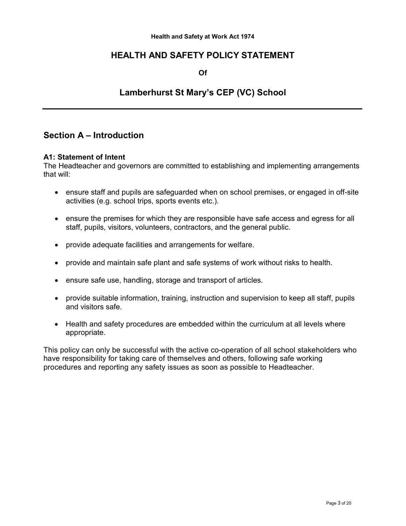#### Health and Safety at Work Act 1974

## HEALTH AND SAFETY POLICY STATEMENT

Of

## Lamberhurst St Mary's CEP (VC) School

## Section A – Introduction

## A1: Statement of Intent

The Headteacher and governors are committed to establishing and implementing arrangements that will:

- ensure staff and pupils are safeguarded when on school premises, or engaged in off-site activities (e.g. school trips, sports events etc.).
- ensure the premises for which they are responsible have safe access and egress for all staff, pupils, visitors, volunteers, contractors, and the general public.
- provide adequate facilities and arrangements for welfare.
- provide and maintain safe plant and safe systems of work without risks to health.
- ensure safe use, handling, storage and transport of articles.
- provide suitable information, training, instruction and supervision to keep all staff, pupils and visitors safe.
- Health and safety procedures are embedded within the curriculum at all levels where appropriate.

This policy can only be successful with the active co-operation of all school stakeholders who have responsibility for taking care of themselves and others, following safe working procedures and reporting any safety issues as soon as possible to Headteacher.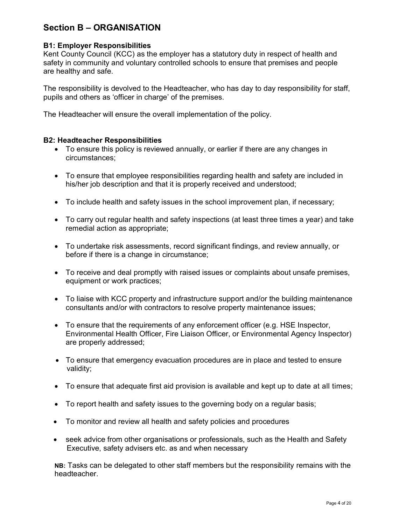## Section B – ORGANISATION

## B1: Employer Responsibilities

Kent County Council (KCC) as the employer has a statutory duty in respect of health and safety in community and voluntary controlled schools to ensure that premises and people are healthy and safe.

The responsibility is devolved to the Headteacher, who has day to day responsibility for staff, pupils and others as 'officer in charge' of the premises.

The Headteacher will ensure the overall implementation of the policy.

## B2: Headteacher Responsibilities

- To ensure this policy is reviewed annually, or earlier if there are any changes in circumstances;
- To ensure that employee responsibilities regarding health and safety are included in his/her job description and that it is properly received and understood;
- To include health and safety issues in the school improvement plan, if necessary;
- To carry out regular health and safety inspections (at least three times a year) and take remedial action as appropriate;
- To undertake risk assessments, record significant findings, and review annually, or before if there is a change in circumstance;
- To receive and deal promptly with raised issues or complaints about unsafe premises, equipment or work practices;
- To liaise with KCC property and infrastructure support and/or the building maintenance consultants and/or with contractors to resolve property maintenance issues;
- To ensure that the requirements of any enforcement officer (e.g. HSE Inspector, Environmental Health Officer, Fire Liaison Officer, or Environmental Agency Inspector) are properly addressed;
- To ensure that emergency evacuation procedures are in place and tested to ensure validity;
- To ensure that adequate first aid provision is available and kept up to date at all times;
- To report health and safety issues to the governing body on a regular basis;
- To monitor and review all health and safety policies and procedures
- seek advice from other organisations or professionals, such as the Health and Safety Executive, safety advisers etc. as and when necessary

NB: Tasks can be delegated to other staff members but the responsibility remains with the headteacher.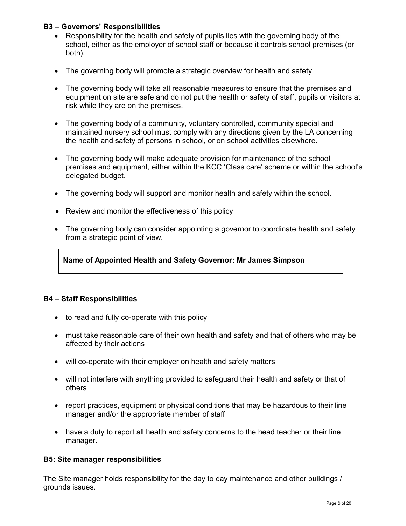## B3 – Governors' Responsibilities

- Responsibility for the health and safety of pupils lies with the governing body of the school, either as the employer of school staff or because it controls school premises (or both).
- The governing body will promote a strategic overview for health and safety.
- The governing body will take all reasonable measures to ensure that the premises and equipment on site are safe and do not put the health or safety of staff, pupils or visitors at risk while they are on the premises.
- The governing body of a community, voluntary controlled, community special and maintained nursery school must comply with any directions given by the LA concerning the health and safety of persons in school, or on school activities elsewhere.
- The governing body will make adequate provision for maintenance of the school premises and equipment, either within the KCC 'Class care' scheme or within the school's delegated budget.
- The governing body will support and monitor health and safety within the school.
- Review and monitor the effectiveness of this policy
- The governing body can consider appointing a governor to coordinate health and safety from a strategic point of view.

Name of Appointed Health and Safety Governor: Mr James Simpson

## B4 – Staff Responsibilities

- to read and fully co-operate with this policy
- must take reasonable care of their own health and safety and that of others who may be affected by their actions
- will co-operate with their employer on health and safety matters
- will not interfere with anything provided to safeguard their health and safety or that of others
- report practices, equipment or physical conditions that may be hazardous to their line manager and/or the appropriate member of staff
- have a duty to report all health and safety concerns to the head teacher or their line manager.

## B5: Site manager responsibilities

The Site manager holds responsibility for the day to day maintenance and other buildings / grounds issues.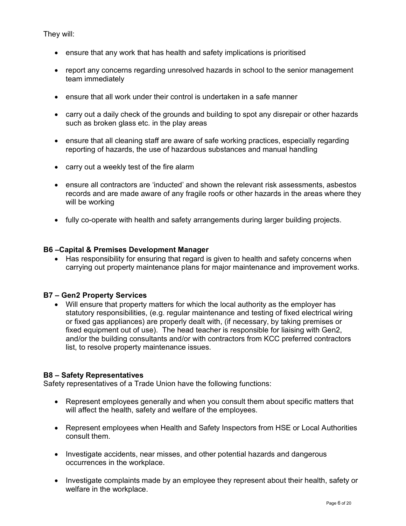They will:

- ensure that any work that has health and safety implications is prioritised
- report any concerns regarding unresolved hazards in school to the senior management team immediately
- ensure that all work under their control is undertaken in a safe manner
- carry out a daily check of the grounds and building to spot any disrepair or other hazards such as broken glass etc. in the play areas
- ensure that all cleaning staff are aware of safe working practices, especially regarding reporting of hazards, the use of hazardous substances and manual handling
- carry out a weekly test of the fire alarm
- ensure all contractors are 'inducted' and shown the relevant risk assessments, asbestos records and are made aware of any fragile roofs or other hazards in the areas where they will be working
- fully co-operate with health and safety arrangements during larger building projects.

## B6 –Capital & Premises Development Manager

• Has responsibility for ensuring that regard is given to health and safety concerns when carrying out property maintenance plans for major maintenance and improvement works.

## B7 – Gen2 Property Services

 Will ensure that property matters for which the local authority as the employer has statutory responsibilities, (e.g. regular maintenance and testing of fixed electrical wiring or fixed gas appliances) are properly dealt with, (if necessary, by taking premises or fixed equipment out of use). The head teacher is responsible for liaising with Gen2, and/or the building consultants and/or with contractors from KCC preferred contractors list, to resolve property maintenance issues.

## B8 – Safety Representatives

Safety representatives of a Trade Union have the following functions:

- Represent employees generally and when you consult them about specific matters that will affect the health, safety and welfare of the employees.
- Represent employees when Health and Safety Inspectors from HSE or Local Authorities consult them.
- Investigate accidents, near misses, and other potential hazards and dangerous occurrences in the workplace.
- Investigate complaints made by an employee they represent about their health, safety or welfare in the workplace.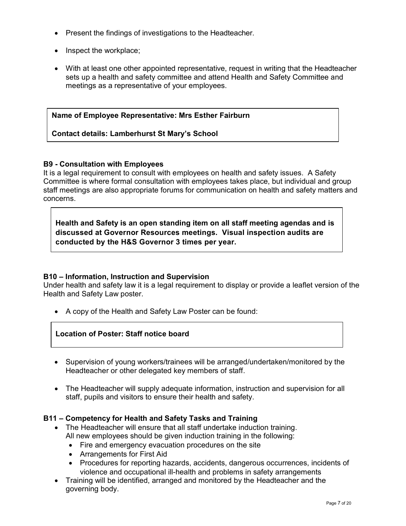- Present the findings of investigations to the Headteacher.
- Inspect the workplace;
- With at least one other appointed representative, request in writing that the Headteacher sets up a health and safety committee and attend Health and Safety Committee and meetings as a representative of your employees.

## Name of Employee Representative: Mrs Esther Fairburn

## Contact details: Lamberhurst St Mary's School

## B9 - Consultation with Employees

It is a legal requirement to consult with employees on health and safety issues. A Safety Committee is where formal consultation with employees takes place, but individual and group staff meetings are also appropriate forums for communication on health and safety matters and concerns.

Health and Safety is an open standing item on all staff meeting agendas and is discussed at Governor Resources meetings. Visual inspection audits are conducted by the H&S Governor 3 times per year.

## B10 – Information, Instruction and Supervision

Under health and safety law it is a legal requirement to display or provide a leaflet version of the Health and Safety Law poster.

• A copy of the Health and Safety Law Poster can be found:

## Location of Poster: Staff notice board

- Supervision of young workers/trainees will be arranged/undertaken/monitored by the Headteacher or other delegated key members of staff.
- The Headteacher will supply adequate information, instruction and supervision for all staff, pupils and visitors to ensure their health and safety.

## B11 – Competency for Health and Safety Tasks and Training

- The Headteacher will ensure that all staff undertake induction training. All new employees should be given induction training in the following:
	- Fire and emergency evacuation procedures on the site
	- Arrangements for First Aid
	- Procedures for reporting hazards, accidents, dangerous occurrences, incidents of violence and occupational ill-health and problems in safety arrangements
- Training will be identified, arranged and monitored by the Headteacher and the governing body.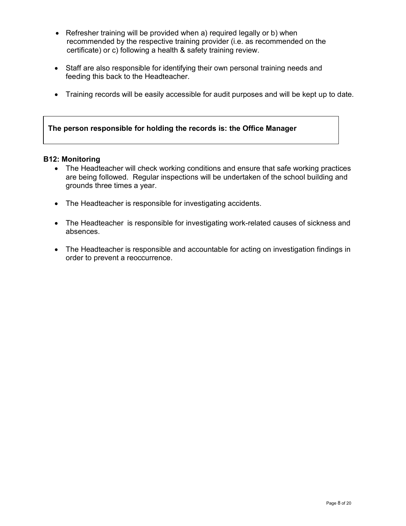- Refresher training will be provided when a) required legally or b) when recommended by the respective training provider (i.e. as recommended on the certificate) or c) following a health & safety training review.
- Staff are also responsible for identifying their own personal training needs and feeding this back to the Headteacher.
- Training records will be easily accessible for audit purposes and will be kept up to date.

## The person responsible for holding the records is: the Office Manager

## B12: Monitoring

- The Headteacher will check working conditions and ensure that safe working practices are being followed. Regular inspections will be undertaken of the school building and grounds three times a year.
- The Headteacher is responsible for investigating accidents.
- The Headteacher is responsible for investigating work-related causes of sickness and absences.
- The Headteacher is responsible and accountable for acting on investigation findings in order to prevent a reoccurrence.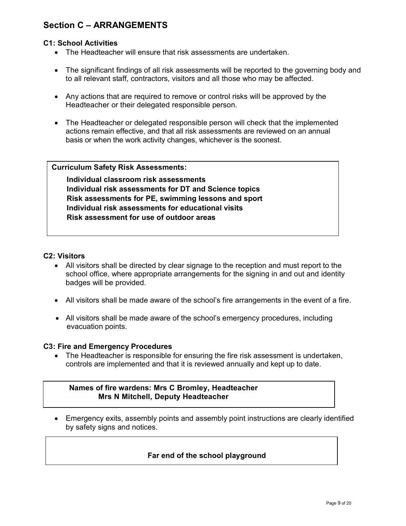## Section C – ARRANGEMENTS

## C1: School Activities

- The Headteacher will ensure that risk assessments are undertaken.
- The significant findings of all risk assessments will be reported to the governing body and to all relevant staff, contractors, visitors and all those who may be affected.
- Any actions that are required to remove or control risks will be approved by the Headteacher or their delegated responsible person.
- The Headteacher or delegated responsible person will check that the implemented actions remain effective, and that all risk assessments are reviewed on an annual basis or when the work activity changes, whichever is the soonest.

## Curriculum Safety Risk Assessments:

Individual classroom risk assessments Individual risk assessments for DT and Science topics Risk assessments for PE, swimming lessons and sport Individual risk assessments for educational visits Risk assessment for use of outdoor areas

## C2: Visitors

- All visitors shall be directed by clear signage to the reception and must report to the school office, where appropriate arrangements for the signing in and out and identity badges will be provided.
- All visitors shall be made aware of the school's fire arrangements in the event of a fire.
- All visitors shall be made aware of the school's emergency procedures, including evacuation points.

#### C3: Fire and Emergency Procedures

 The Headteacher is responsible for ensuring the fire risk assessment is undertaken, controls are implemented and that it is reviewed annually and kept up to date.

## Names of fire wardens: Mrs C Bromley, Headteacher Mrs N Mitchell, Deputy Headteacher

 Emergency exits, assembly points and assembly point instructions are clearly identified by safety signs and notices.

## Far end of the school playground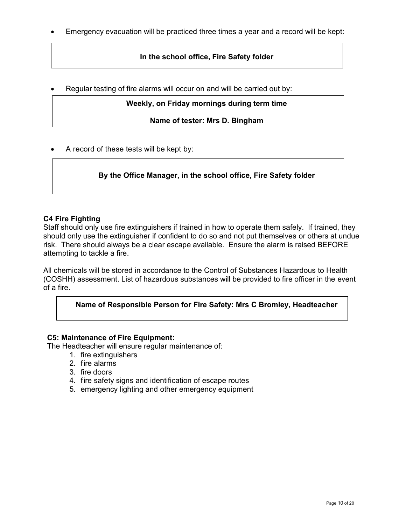Emergency evacuation will be practiced three times a year and a record will be kept:

## In the school office, Fire Safety folder

Regular testing of fire alarms will occur on and will be carried out by:

## Weekly, on Friday mornings during term time

Name of tester: Mrs D. Bingham

A record of these tests will be kept by:

## By the Office Manager, in the school office, Fire Safety folder

## C4 Fire Fighting

Staff should only use fire extinguishers if trained in how to operate them safely. If trained, they should only use the extinguisher if confident to do so and not put themselves or others at undue risk. There should always be a clear escape available. Ensure the alarm is raised BEFORE attempting to tackle a fire.

All chemicals will be stored in accordance to the Control of Substances Hazardous to Health (COSHH) assessment. List of hazardous substances will be provided to fire officer in the event of a fire.

## Name of Responsible Person for Fire Safety: Mrs C Bromley, Headteacher

## C5: Maintenance of Fire Equipment:

The Headteacher will ensure regular maintenance of:

- 1. fire extinguishers
- 2. fire alarms
- 3. fire doors
- 4. fire safety signs and identification of escape routes
- 5. emergency lighting and other emergency equipment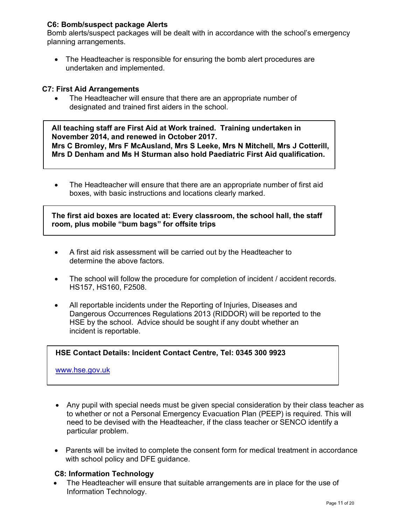## C6: Bomb/suspect package Alerts

Bomb alerts/suspect packages will be dealt with in accordance with the school's emergency planning arrangements.

 The Headteacher is responsible for ensuring the bomb alert procedures are undertaken and implemented.

## C7: First Aid Arrangements

 The Headteacher will ensure that there are an appropriate number of designated and trained first aiders in the school.

All teaching staff are First Aid at Work trained. Training undertaken in November 2014, and renewed in October 2017. Mrs C Bromley, Mrs F McAusland, Mrs S Leeke, Mrs N Mitchell, Mrs J Cotterill, Mrs D Denham and Ms H Sturman also hold Paediatric First Aid qualification.

• The Headteacher will ensure that there are an appropriate number of first aid boxes, with basic instructions and locations clearly marked.

The first aid boxes are located at: Every classroom, the school hall, the staff room, plus mobile "bum bags" for offsite trips

- A first aid risk assessment will be carried out by the Headteacher to determine the above factors.
- The school will follow the procedure for completion of incident / accident records. HS157, HS160, F2508.
- All reportable incidents under the Reporting of Injuries, Diseases and Dangerous Occurrences Regulations 2013 (RIDDOR) will be reported to the HSE by the school. Advice should be sought if any doubt whether an incident is reportable.

## HSE Contact Details: Incident Contact Centre, Tel: 0345 300 9923

www.hse.gov.uk

- Any pupil with special needs must be given special consideration by their class teacher as to whether or not a Personal Emergency Evacuation Plan (PEEP) is required. This will need to be devised with the Headteacher, if the class teacher or SENCO identify a particular problem.
- Parents will be invited to complete the consent form for medical treatment in accordance with school policy and DFE guidance.

#### C8: Information Technology

 The Headteacher will ensure that suitable arrangements are in place for the use of Information Technology.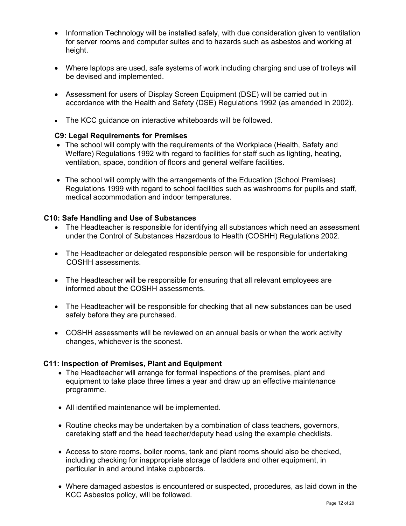- Information Technology will be installed safely, with due consideration given to ventilation for server rooms and computer suites and to hazards such as asbestos and working at height.
- Where laptops are used, safe systems of work including charging and use of trolleys will be devised and implemented.
- Assessment for users of Display Screen Equipment (DSE) will be carried out in accordance with the Health and Safety (DSE) Regulations 1992 (as amended in 2002).
- The KCC guidance on interactive whiteboards will be followed.

## C9: Legal Requirements for Premises

- The school will comply with the requirements of the Workplace (Health, Safety and Welfare) Regulations 1992 with regard to facilities for staff such as lighting, heating, ventilation, space, condition of floors and general welfare facilities.
- The school will comply with the arrangements of the Education (School Premises) Regulations 1999 with regard to school facilities such as washrooms for pupils and staff, medical accommodation and indoor temperatures.

## C10: Safe Handling and Use of Substances

- The Headteacher is responsible for identifying all substances which need an assessment under the Control of Substances Hazardous to Health (COSHH) Regulations 2002.
- The Headteacher or delegated responsible person will be responsible for undertaking COSHH assessments.
- The Headteacher will be responsible for ensuring that all relevant employees are informed about the COSHH assessments.
- The Headteacher will be responsible for checking that all new substances can be used safely before they are purchased.
- COSHH assessments will be reviewed on an annual basis or when the work activity changes, whichever is the soonest.

## C11: Inspection of Premises, Plant and Equipment

- The Headteacher will arrange for formal inspections of the premises, plant and equipment to take place three times a year and draw up an effective maintenance programme.
- All identified maintenance will be implemented.
- Routine checks may be undertaken by a combination of class teachers, governors, caretaking staff and the head teacher/deputy head using the example checklists.
- Access to store rooms, boiler rooms, tank and plant rooms should also be checked, including checking for inappropriate storage of ladders and other equipment, in particular in and around intake cupboards.
- Where damaged asbestos is encountered or suspected, procedures, as laid down in the KCC Asbestos policy, will be followed.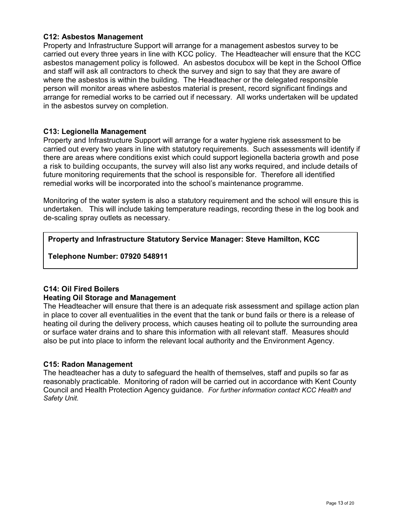## C12: Asbestos Management

Property and Infrastructure Support will arrange for a management asbestos survey to be carried out every three years in line with KCC policy. The Headteacher will ensure that the KCC asbestos management policy is followed. An asbestos docubox will be kept in the School Office and staff will ask all contractors to check the survey and sign to say that they are aware of where the asbestos is within the building. The Headteacher or the delegated responsible person will monitor areas where asbestos material is present, record significant findings and arrange for remedial works to be carried out if necessary. All works undertaken will be updated in the asbestos survey on completion.

## C13: Legionella Management

Property and Infrastructure Support will arrange for a water hygiene risk assessment to be carried out every two years in line with statutory requirements. Such assessments will identify if there are areas where conditions exist which could support legionella bacteria growth and pose a risk to building occupants, the survey will also list any works required, and include details of future monitoring requirements that the school is responsible for. Therefore all identified remedial works will be incorporated into the school's maintenance programme.

Monitoring of the water system is also a statutory requirement and the school will ensure this is undertaken. This will include taking temperature readings, recording these in the log book and de-scaling spray outlets as necessary.

## Property and Infrastructure Statutory Service Manager: Steve Hamilton, KCC

Telephone Number: 07920 548911

## C14: Oil Fired Boilers

## Heating Oil Storage and Management

The Headteacher will ensure that there is an adequate risk assessment and spillage action plan in place to cover all eventualities in the event that the tank or bund fails or there is a release of heating oil during the delivery process, which causes heating oil to pollute the surrounding area or surface water drains and to share this information with all relevant staff. Measures should also be put into place to inform the relevant local authority and the Environment Agency.

## C15: Radon Management

The headteacher has a duty to safeguard the health of themselves, staff and pupils so far as reasonably practicable. Monitoring of radon will be carried out in accordance with Kent County Council and Health Protection Agency guidance. For further information contact KCC Health and Safety Unit.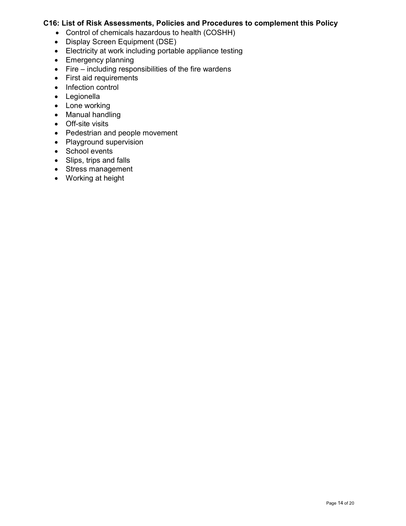## C16: List of Risk Assessments, Policies and Procedures to complement this Policy

- Control of chemicals hazardous to health (COSHH)
- Display Screen Equipment (DSE)
- Electricity at work including portable appliance testing
- Emergency planning
- $\bullet$  Fire including responsibilities of the fire wardens
- First aid requirements
- Infection control
- Legionella
- Lone working
- Manual handling
- Off-site visits
- Pedestrian and people movement
- Playground supervision
- School events
- Slips, trips and falls
- Stress management
- Working at height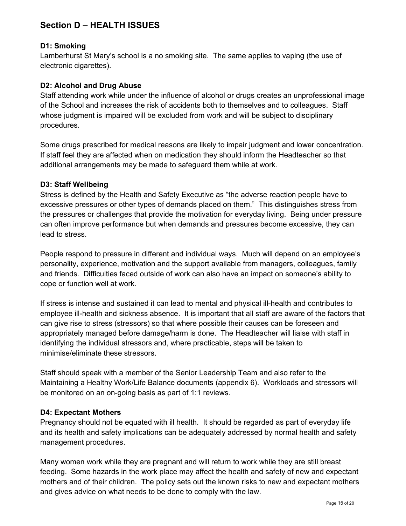## Section D – HEALTH ISSUES

## D1: Smoking

Lamberhurst St Mary's school is a no smoking site. The same applies to vaping (the use of electronic cigarettes).

## D2: Alcohol and Drug Abuse

Staff attending work while under the influence of alcohol or drugs creates an unprofessional image of the School and increases the risk of accidents both to themselves and to colleagues. Staff whose judgment is impaired will be excluded from work and will be subject to disciplinary procedures.

Some drugs prescribed for medical reasons are likely to impair judgment and lower concentration. If staff feel they are affected when on medication they should inform the Headteacher so that additional arrangements may be made to safeguard them while at work.

## D3: Staff Wellbeing

Stress is defined by the Health and Safety Executive as "the adverse reaction people have to excessive pressures or other types of demands placed on them." This distinguishes stress from the pressures or challenges that provide the motivation for everyday living. Being under pressure can often improve performance but when demands and pressures become excessive, they can lead to stress.

People respond to pressure in different and individual ways. Much will depend on an employee's personality, experience, motivation and the support available from managers, colleagues, family and friends. Difficulties faced outside of work can also have an impact on someone's ability to cope or function well at work.

If stress is intense and sustained it can lead to mental and physical ill-health and contributes to employee ill-health and sickness absence. It is important that all staff are aware of the factors that can give rise to stress (stressors) so that where possible their causes can be foreseen and appropriately managed before damage/harm is done. The Headteacher will liaise with staff in identifying the individual stressors and, where practicable, steps will be taken to minimise/eliminate these stressors.

Staff should speak with a member of the Senior Leadership Team and also refer to the Maintaining a Healthy Work/Life Balance documents (appendix 6). Workloads and stressors will be monitored on an on-going basis as part of 1:1 reviews.

## D4: Expectant Mothers

Pregnancy should not be equated with ill health. It should be regarded as part of everyday life and its health and safety implications can be adequately addressed by normal health and safety management procedures.

Many women work while they are pregnant and will return to work while they are still breast feeding. Some hazards in the work place may affect the health and safety of new and expectant mothers and of their children. The policy sets out the known risks to new and expectant mothers and gives advice on what needs to be done to comply with the law.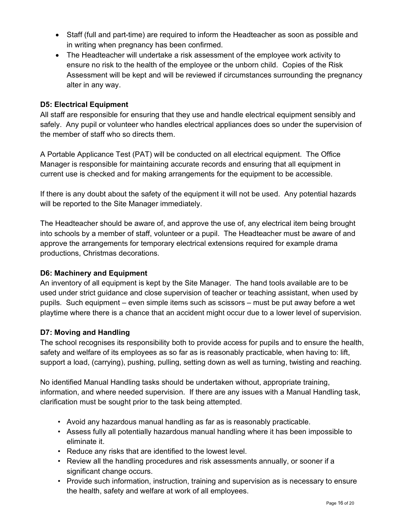- Staff (full and part-time) are required to inform the Headteacher as soon as possible and in writing when pregnancy has been confirmed.
- The Headteacher will undertake a risk assessment of the employee work activity to ensure no risk to the health of the employee or the unborn child. Copies of the Risk Assessment will be kept and will be reviewed if circumstances surrounding the pregnancy alter in any way.

## D5: Electrical Equipment

All staff are responsible for ensuring that they use and handle electrical equipment sensibly and safely. Any pupil or volunteer who handles electrical appliances does so under the supervision of the member of staff who so directs them.

A Portable Applicance Test (PAT) will be conducted on all electrical equipment. The Office Manager is responsible for maintaining accurate records and ensuring that all equipment in current use is checked and for making arrangements for the equipment to be accessible.

If there is any doubt about the safety of the equipment it will not be used. Any potential hazards will be reported to the Site Manager immediately.

The Headteacher should be aware of, and approve the use of, any electrical item being brought into schools by a member of staff, volunteer or a pupil. The Headteacher must be aware of and approve the arrangements for temporary electrical extensions required for example drama productions, Christmas decorations.

## D6: Machinery and Equipment

An inventory of all equipment is kept by the Site Manager. The hand tools available are to be used under strict guidance and close supervision of teacher or teaching assistant, when used by pupils. Such equipment – even simple items such as scissors – must be put away before a wet playtime where there is a chance that an accident might occur due to a lower level of supervision.

## D7: Moving and Handling

The school recognises its responsibility both to provide access for pupils and to ensure the health, safety and welfare of its employees as so far as is reasonably practicable, when having to: lift, support a load, (carrying), pushing, pulling, setting down as well as turning, twisting and reaching.

No identified Manual Handling tasks should be undertaken without, appropriate training, information, and where needed supervision. If there are any issues with a Manual Handling task, clarification must be sought prior to the task being attempted.

- Avoid any hazardous manual handling as far as is reasonably practicable.
- Assess fully all potentially hazardous manual handling where it has been impossible to eliminate it.
- Reduce any risks that are identified to the lowest level.
- Review all the handling procedures and risk assessments annually, or sooner if a significant change occurs.
- Provide such information, instruction, training and supervision as is necessary to ensure the health, safety and welfare at work of all employees.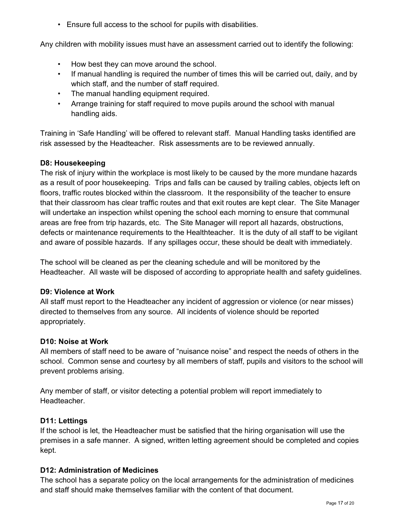• Ensure full access to the school for pupils with disabilities.

Any children with mobility issues must have an assessment carried out to identify the following:

- How best they can move around the school.
- If manual handling is required the number of times this will be carried out, daily, and by which staff, and the number of staff required.
- The manual handling equipment required.
- Arrange training for staff required to move pupils around the school with manual handling aids.

Training in 'Safe Handling' will be offered to relevant staff. Manual Handling tasks identified are risk assessed by the Headteacher. Risk assessments are to be reviewed annually.

## D8: Housekeeping

The risk of injury within the workplace is most likely to be caused by the more mundane hazards as a result of poor housekeeping. Trips and falls can be caused by trailing cables, objects left on floors, traffic routes blocked within the classroom. It the responsibility of the teacher to ensure that their classroom has clear traffic routes and that exit routes are kept clear. The Site Manager will undertake an inspection whilst opening the school each morning to ensure that communal areas are free from trip hazards, etc. The Site Manager will report all hazards, obstructions, defects or maintenance requirements to the Healthteacher. It is the duty of all staff to be vigilant and aware of possible hazards. If any spillages occur, these should be dealt with immediately.

The school will be cleaned as per the cleaning schedule and will be monitored by the Headteacher. All waste will be disposed of according to appropriate health and safety guidelines.

## D9: Violence at Work

All staff must report to the Headteacher any incident of aggression or violence (or near misses) directed to themselves from any source. All incidents of violence should be reported appropriately.

## D10: Noise at Work

All members of staff need to be aware of "nuisance noise" and respect the needs of others in the school. Common sense and courtesy by all members of staff, pupils and visitors to the school will prevent problems arising.

Any member of staff, or visitor detecting a potential problem will report immediately to Headteacher.

## D11: Lettings

If the school is let, the Headteacher must be satisfied that the hiring organisation will use the premises in a safe manner. A signed, written letting agreement should be completed and copies kept.

## D12: Administration of Medicines

The school has a separate policy on the local arrangements for the administration of medicines and staff should make themselves familiar with the content of that document.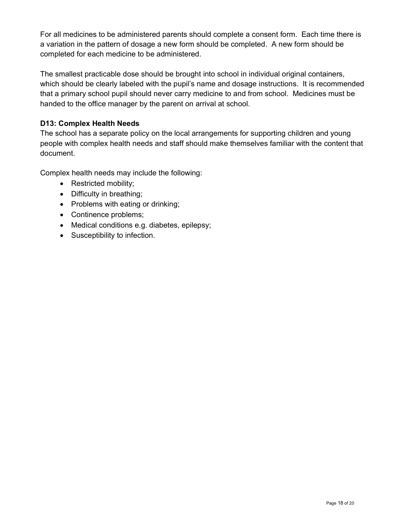For all medicines to be administered parents should complete a consent form. Each time there is a variation in the pattern of dosage a new form should be completed. A new form should be completed for each medicine to be administered.

The smallest practicable dose should be brought into school in individual original containers, which should be clearly labeled with the pupil's name and dosage instructions. It is recommended that a primary school pupil should never carry medicine to and from school. Medicines must be handed to the office manager by the parent on arrival at school.

## D13: Complex Health Needs

The school has a separate policy on the local arrangements for supporting children and young people with complex health needs and staff should make themselves familiar with the content that document.

Complex health needs may include the following:

- Restricted mobility;
- Difficulty in breathing;
- Problems with eating or drinking;
- Continence problems;
- Medical conditions e.g. diabetes, epilepsy;
- Susceptibility to infection.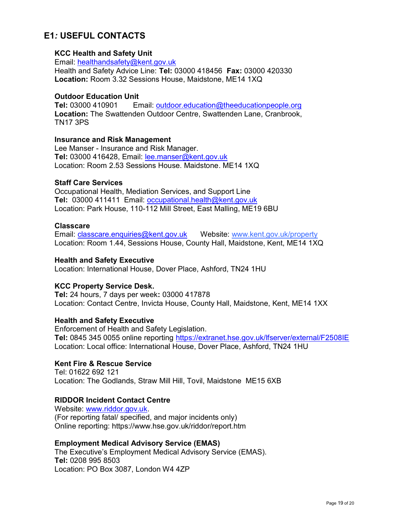## E1: USEFUL CONTACTS

## KCC Health and Safety Unit

Email: healthandsafety@kent.gov.uk Health and Safety Advice Line: Tel: 03000 418456 Fax: 03000 420330 Location: Room 3.32 Sessions House, Maidstone, ME14 1XQ

## Outdoor Education Unit

Tel: 03000 410901 Email: outdoor.education@theeducationpeople.org Location: The Swattenden Outdoor Centre, Swattenden Lane, Cranbrook, TN17 3PS

## Insurance and Risk Management

Lee Manser - Insurance and Risk Manager. Tel: 03000 416428, Email: lee.manser@kent.gov.uk Location: Room 2.53 Sessions House. Maidstone. ME14 1XQ

## Staff Care Services

Occupational Health, Mediation Services, and Support Line Tel: 03000 411411 Email: occupational.health@kent.gov.uk Location: Park House, 110-112 Mill Street, East Malling, ME19 6BU

## **Classcare**

Email: classcare.enquiries@kent.gov.uk Website: www.kent.gov.uk/property Location: Room 1.44, Sessions House, County Hall, Maidstone, Kent, ME14 1XQ

## Health and Safety Executive

Location: International House, Dover Place, Ashford, TN24 1HU

## KCC Property Service Desk.

Tel: 24 hours, 7 days per week: 03000 417878 Location: Contact Centre, Invicta House, County Hall, Maidstone, Kent, ME14 1XX

## Health and Safety Executive

Enforcement of Health and Safety Legislation. Tel: 0845 345 0055 online reporting https://extranet.hse.gov.uk/lfserver/external/F2508IE Location: Local office: International House, Dover Place, Ashford, TN24 1HU

## Kent Fire & Rescue Service

Tel: 01622 692 121 Location: The Godlands, Straw Mill Hill, Tovil, Maidstone ME15 6XB

## RIDDOR Incident Contact Centre

Website: www.riddor.gov.uk. (For reporting fatal/ specified, and major incidents only) Online reporting: https://www.hse.gov.uk/riddor/report.htm

## Employment Medical Advisory Service (EMAS)

The Executive's Employment Medical Advisory Service (EMAS). Tel: 0208 995 8503 Location: PO Box 3087, London W4 4ZP